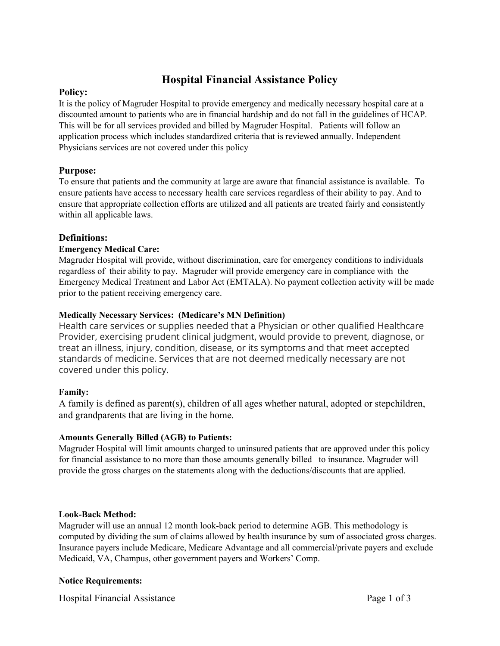# **Hospital Financial Assistance Policy**

## **Policy:**

It is the policy of Magruder Hospital to provide emergency and medically necessary hospital care at a discounted amount to patients who are in financial hardship and do not fall in the guidelines of HCAP. This will be for all services provided and billed by Magruder Hospital. Patients will follow an application process which includes standardized criteria that is reviewed annually. Independent Physicians services are not covered under this policy

# **Purpose:**

To ensure that patients and the community at large are aware that financial assistance is available. To ensure patients have access to necessary health care services regardless of their ability to pay. And to ensure that appropriate collection efforts are utilized and all patients are treated fairly and consistently within all applicable laws.

## **Definitions:**

#### **Emergency Medical Care:**

Magruder Hospital will provide, without discrimination, care for emergency conditions to individuals regardless of their ability to pay. Magruder will provide emergency care in compliance with the Emergency Medical Treatment and Labor Act (EMTALA). No payment collection activity will be made prior to the patient receiving emergency care.

#### **Medically Necessary Services: (Medicare's MN Definition)**

Health care services or supplies needed that a Physician or other qualified Healthcare Provider, exercising prudent clinical judgment, would provide to prevent, diagnose, or treat an illness, injury, condition, disease, or its symptoms and that meet accepted standards of medicine. Services that are not deemed medically necessary are not covered under this policy.

## **Family:**

A family is defined as parent(s), children of all ages whether natural, adopted or stepchildren, and grandparents that are living in the home.

## **Amounts Generally Billed (AGB) to Patients:**

Magruder Hospital will limit amounts charged to uninsured patients that are approved under this policy for financial assistance to no more than those amounts generally billed to insurance. Magruder will provide the gross charges on the statements along with the deductions/discounts that are applied.

## **Look-Back Method:**

Magruder will use an annual 12 month look-back period to determine AGB. This methodology is computed by dividing the sum of claims allowed by health insurance by sum of associated gross charges. Insurance payers include Medicare, Medicare Advantage and all commercial/private payers and exclude Medicaid, VA, Champus, other government payers and Workers' Comp.

## **Notice Requirements:**

Hospital Financial Assistance **Page 1** of 3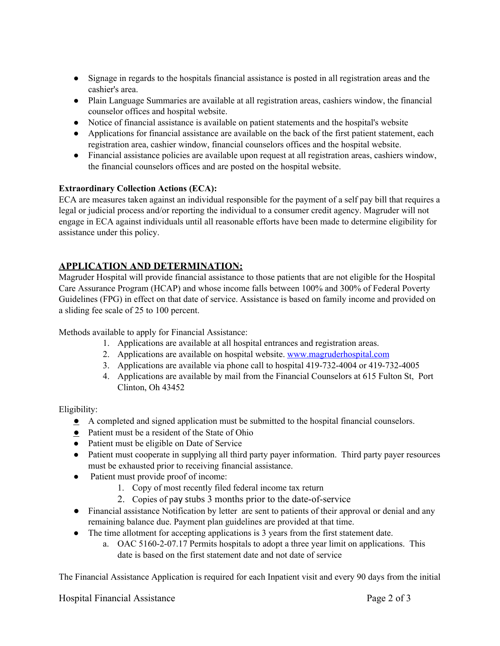- Signage in regards to the hospitals financial assistance is posted in all registration areas and the cashier's area.
- Plain Language Summaries are available at all registration areas, cashiers window, the financial counselor offices and hospital website.
- Notice of financial assistance is available on patient statements and the hospital's website
- Applications for financial assistance are available on the back of the first patient statement, each registration area, cashier window, financial counselors offices and the hospital website.
- Financial assistance policies are available upon request at all registration areas, cashiers window, the financial counselors offices and are posted on the hospital website.

#### **Extraordinary Collection Actions (ECA):**

ECA are measures taken against an individual responsible for the payment of a self pay bill that requires a legal or judicial process and/or reporting the individual to a consumer credit agency. Magruder will not engage in ECA against individuals until all reasonable efforts have been made to determine eligibility for assistance under this policy.

# **APPLICATION AND DETERMINATION:**

Magruder Hospital will provide financial assistance to those patients that are not eligible for the Hospital Care Assurance Program (HCAP) and whose income falls between 100% and 300% of Federal Poverty Guidelines (FPG) in effect on that date of service. Assistance is based on family income and provided on a sliding fee scale of 25 to 100 percent.

Methods available to apply for Financial Assistance:

- 1. Applications are available at all hospital entrances and registration areas.
- 2. Applications are available on hospital website. [www.magruderhospital.com](http://www.magruderhospital.com/)
- 3. Applications are available via phone call to hospital 419-732-4004 or 419-732-4005
- 4. Applications are available by mail from the Financial Counselors at 615 Fulton St, Port Clinton, Oh 43452

Eligibility:

- A completed and signed application must be submitted to the hospital financial counselors.
- Patient must be a resident of the State of Ohio
- Patient must be eligible on Date of Service
- Patient must cooperate in supplying all third party payer information. Third party payer resources must be exhausted prior to receiving financial assistance.
- Patient must provide proof of income:
	- 1. Copy of most recently filed federal income tax return
	- 2. Copies of pay stubs 3 months prior to the date-of-service
- Financial assistance Notification by letter are sent to patients of their approval or denial and any remaining balance due. Payment plan guidelines are provided at that time.
- The time allotment for accepting applications is 3 years from the first statement date.
	- a. OAC 5160-2-07.17 Permits hospitals to adopt a three year limit on applications. This date is based on the first statement date and not date of service

The Financial Assistance Application is required for each Inpatient visit and every 90 days from the initial

Hospital Financial Assistance **Page 2 of 3** Page 2 of 3